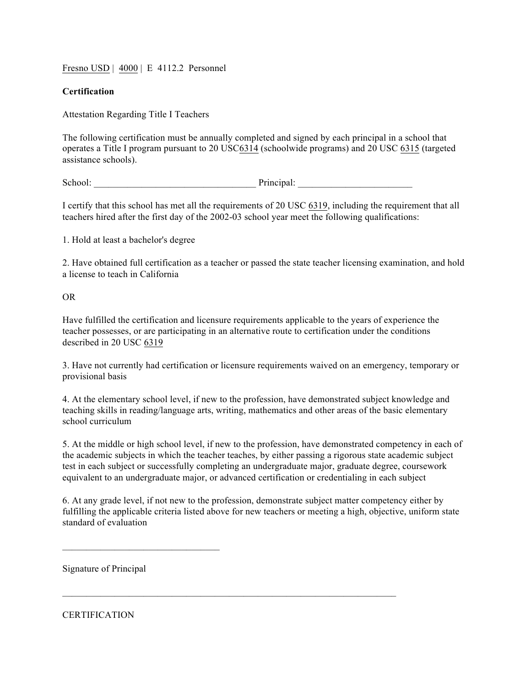Fresno USD | 4000 | E 4112.2 Personnel

## **Certification**

Attestation Regarding Title I Teachers

The following certification must be annually completed and signed by each principal in a school that operates a Title I program pursuant to 20 USC6314 (schoolwide programs) and 20 USC 6315 (targeted assistance schools).

School: Principal:

I certify that this school has met all the requirements of 20 USC 6319, including the requirement that all teachers hired after the first day of the 2002-03 school year meet the following qualifications:

1. Hold at least a bachelor's degree

2. Have obtained full certification as a teacher or passed the state teacher licensing examination, and hold a license to teach in California

## OR

Have fulfilled the certification and licensure requirements applicable to the years of experience the teacher possesses, or are participating in an alternative route to certification under the conditions described in 20 USC 6319

3. Have not currently had certification or licensure requirements waived on an emergency, temporary or provisional basis

4. At the elementary school level, if new to the profession, have demonstrated subject knowledge and teaching skills in reading/language arts, writing, mathematics and other areas of the basic elementary school curriculum

5. At the middle or high school level, if new to the profession, have demonstrated competency in each of the academic subjects in which the teacher teaches, by either passing a rigorous state academic subject test in each subject or successfully completing an undergraduate major, graduate degree, coursework equivalent to an undergraduate major, or advanced certification or credentialing in each subject

6. At any grade level, if not new to the profession, demonstrate subject matter competency either by fulfilling the applicable criteria listed above for new teachers or meeting a high, objective, uniform state standard of evaluation

 $\mathcal{L}_\text{max}$  , and the contribution of the contribution of the contribution of the contribution of the contribution of the contribution of the contribution of the contribution of the contribution of the contribution of t

Signature of Principal

 $\mathcal{L}_\text{max}$  , where  $\mathcal{L}_\text{max}$  , we have the set of  $\mathcal{L}_\text{max}$ 

**CERTIFICATION**